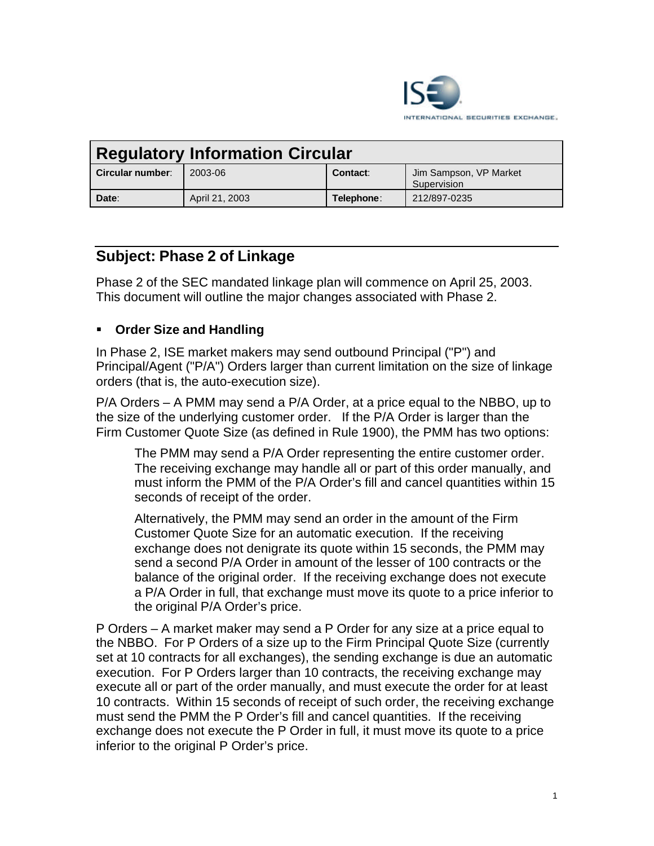

| <b>Regulatory Information Circular</b> |                |            |                                       |
|----------------------------------------|----------------|------------|---------------------------------------|
| Circular number:                       | 2003-06        | Contact:   | Jim Sampson, VP Market<br>Supervision |
| Date:                                  | April 21, 2003 | Telephone: | 212/897-0235                          |

## **Subject: Phase 2 of Linkage**

Phase 2 of the SEC mandated linkage plan will commence on April 25, 2003. This document will outline the major changes associated with Phase 2.

## ß **Order Size and Handling**

In Phase 2, ISE market makers may send outbound Principal ("P") and Principal/Agent ("P/A") Orders larger than current limitation on the size of linkage orders (that is, the auto-execution size).

P/A Orders – A PMM may send a P/A Order, at a price equal to the NBBO, up to the size of the underlying customer order. If the P/A Order is larger than the Firm Customer Quote Size (as defined in Rule 1900), the PMM has two options:

The PMM may send a P/A Order representing the entire customer order. The receiving exchange may handle all or part of this order manually, and must inform the PMM of the P/A Order's fill and cancel quantities within 15 seconds of receipt of the order.

Alternatively, the PMM may send an order in the amount of the Firm Customer Quote Size for an automatic execution. If the receiving exchange does not denigrate its quote within 15 seconds, the PMM may send a second P/A Order in amount of the lesser of 100 contracts or the balance of the original order. If the receiving exchange does not execute a P/A Order in full, that exchange must move its quote to a price inferior to the original P/A Order's price.

P Orders – A market maker may send a P Order for any size at a price equal to the NBBO. For P Orders of a size up to the Firm Principal Quote Size (currently set at 10 contracts for all exchanges), the sending exchange is due an automatic execution. For P Orders larger than 10 contracts, the receiving exchange may execute all or part of the order manually, and must execute the order for at least 10 contracts. Within 15 seconds of receipt of such order, the receiving exchange must send the PMM the P Order's fill and cancel quantities. If the receiving exchange does not execute the P Order in full, it must move its quote to a price inferior to the original P Order's price.